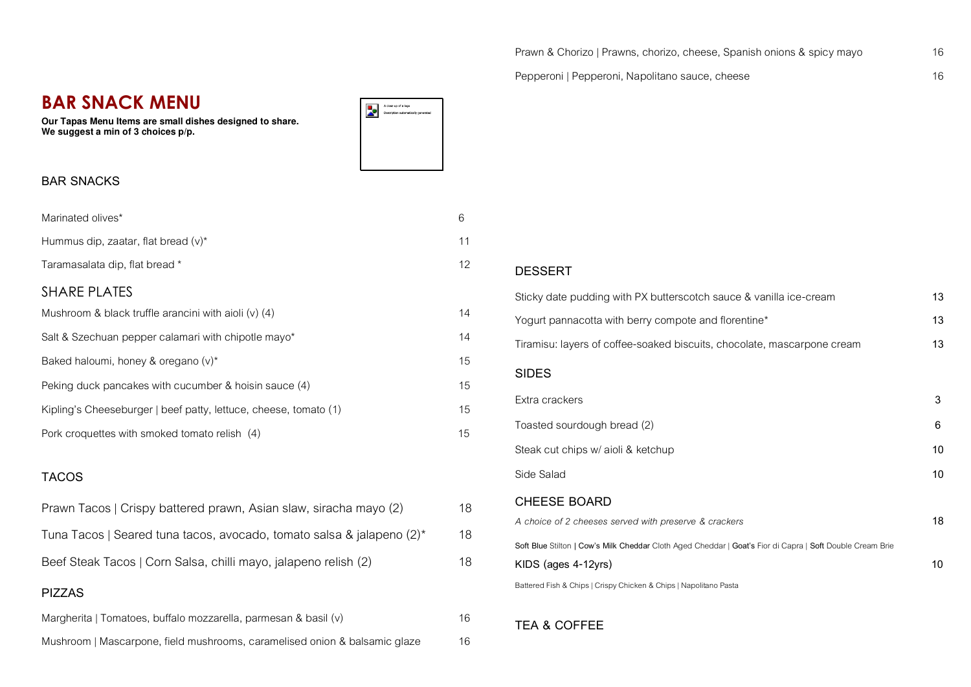Pepperoni | Pepperoni, Napolitano sauce, cheese 16

# **BAR SNACK MENU**

**Our Tapas Menu Items are small dishes designed to share. We suggest a min of 3 choices p/p.** 

## **BAR SNACKS**

| Marinated olives*                                                | 6                 |
|------------------------------------------------------------------|-------------------|
| Hummus dip, zaatar, flat bread $(v)^*$                           | 11                |
| Taramasalata dip, flat bread *                                   | $12 \overline{ }$ |
| <b>SHARE PLATES</b>                                              |                   |
| Mushroom & black truffle arancini with aioli $(v)$ (4)           | 14                |
| Salt & Szechuan pepper calamari with chipotle mayo*              | 14                |
| Baked haloumi, honey & oregano (v)*                              | 15                |
| Peking duck pancakes with cucumber & hoisin sauce (4)            | 15                |
| Kipling's Cheeseburger   beef patty, lettuce, cheese, tomato (1) | 15                |
| Pork croquettes with smoked tomato relish (4)                    | 15                |
|                                                                  |                   |

# **TACOS**

| Prawn Tacos   Crispy battered prawn, Asian slaw, siracha mayo (2)     | 18 |
|-----------------------------------------------------------------------|----|
| Tuna Tacos   Seared tuna tacos, avocado, tomato salsa & jalapeno (2)* | 18 |
| Beef Steak Tacos   Corn Salsa, chilli mayo, jalapeno relish (2)       | 18 |
| <b>PIZZAS</b>                                                         |    |
|                                                                       |    |

Margherita | Tomatoes, buffalo mozzarella, parmesan & basil (v) 16 Mushroom | Mascarpone, field mushrooms, caramelised onion & balsamic glaze 16

#### **DESSERT**

A close up of a logo

.<br>Description automatically generated

þ.

| Sticky date pudding with PX butterscotch sauce & vanilla ice-cream                                        | 13 |
|-----------------------------------------------------------------------------------------------------------|----|
| Yogurt pannacotta with berry compote and florentine*                                                      | 13 |
| Tiramisu: layers of coffee-soaked biscuits, chocolate, mascarpone cream                                   | 13 |
| <b>SIDES</b>                                                                                              |    |
| Extra crackers                                                                                            | 3  |
| Toasted sourdough bread (2)                                                                               | 6  |
| Steak cut chips w/ aioli & ketchup                                                                        | 10 |
| Side Salad                                                                                                | 10 |
| <b>CHEESE BOARD</b>                                                                                       |    |
| A choice of 2 cheeses served with preserve & crackers                                                     | 18 |
| Soft Blue Stilton   Cow's Milk Cheddar Cloth Aged Cheddar   Goat's Fior di Capra   Soft Double Cream Brie |    |
| KIDS (ages 4-12yrs)                                                                                       | 10 |
| Battered Fish & Chips   Crispy Chicken & Chips   Napolitano Pasta                                         |    |

## **TEA & COFFEE**